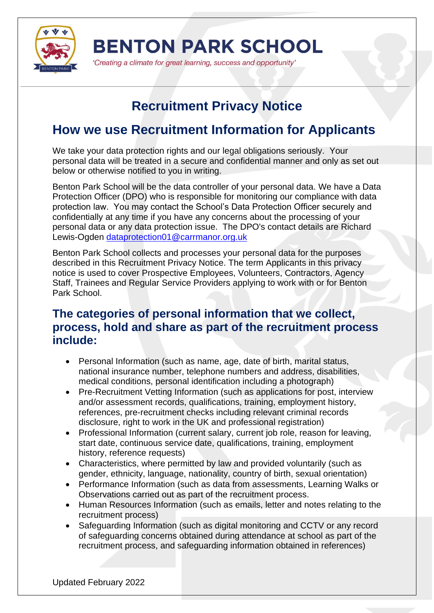

'Creating a climate for great learning, success and opportunity'

# **Recruitment Privacy Notice**

# **How we use Recruitment Information for Applicants**

We take your data protection rights and our legal obligations seriously. Your personal data will be treated in a secure and confidential manner and only as set out below or otherwise notified to you in writing.

Benton Park School will be the data controller of your personal data. We have a Data Protection Officer (DPO) who is responsible for monitoring our compliance with data protection law. You may contact the School's Data Protection Officer securely and confidentially at any time if you have any concerns about the processing of your personal data or any data protection issue. The DPO's contact details are Richard Lewis-Ogden [dataprotection01@carrmanor.org.uk](mailto:dataprotection01@carrmanor.org.uk)

Benton Park School collects and processes your personal data for the purposes described in this Recruitment Privacy Notice. The term Applicants in this privacy notice is used to cover Prospective Employees, Volunteers, Contractors, Agency Staff, Trainees and Regular Service Providers applying to work with or for Benton Park School.

#### **The categories of personal information that we collect, process, hold and share as part of the recruitment process include:**

- Personal Information (such as name, age, date of birth, marital status, national insurance number, telephone numbers and address, disabilities, medical conditions, personal identification including a photograph)
- Pre-Recruitment Vetting Information (such as applications for post, interview and/or assessment records, qualifications, training, employment history, references, pre-recruitment checks including relevant criminal records disclosure, right to work in the UK and professional registration)
- Professional Information (current salary, current job role, reason for leaving, start date, continuous service date, qualifications, training, employment history, reference requests)
- Characteristics, where permitted by law and provided voluntarily (such as gender, ethnicity, language, nationality, country of birth, sexual orientation)
- Performance Information (such as data from assessments, Learning Walks or Observations carried out as part of the recruitment process.
- Human Resources Information (such as emails, letter and notes relating to the recruitment process)
- Safeguarding Information (such as digital monitoring and CCTV or any record of safeguarding concerns obtained during attendance at school as part of the recruitment process, and safeguarding information obtained in references)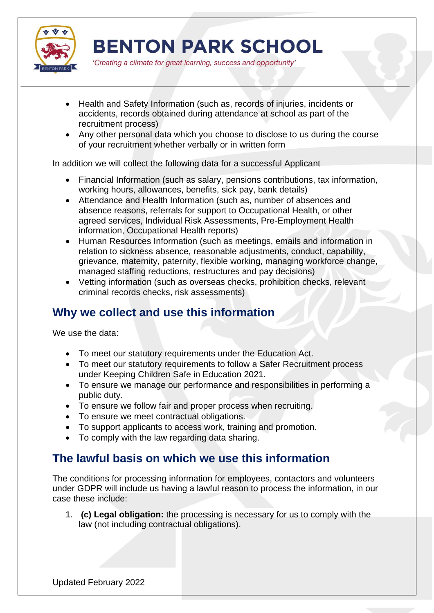

'Creating a climate for great learning, success and opportunity'

- Health and Safety Information (such as, records of injuries, incidents or accidents, records obtained during attendance at school as part of the recruitment process)
- Any other personal data which you choose to disclose to us during the course of your recruitment whether verbally or in written form

In addition we will collect the following data for a successful Applicant

- Financial Information (such as salary, pensions contributions, tax information, working hours, allowances, benefits, sick pay, bank details)
- Attendance and Health Information (such as, number of absences and absence reasons, referrals for support to Occupational Health, or other agreed services, Individual Risk Assessments, Pre-Employment Health information, Occupational Health reports)
- Human Resources Information (such as meetings, emails and information in relation to sickness absence, reasonable adjustments, conduct, capability, grievance, maternity, paternity, flexible working, managing workforce change, managed staffing reductions, restructures and pay decisions)
- Vetting information (such as overseas checks, prohibition checks, relevant criminal records checks, risk assessments)

## **Why we collect and use this information**

We use the data:

- To meet our statutory requirements under the Education Act.
- To meet our statutory requirements to follow a Safer Recruitment process under Keeping Children Safe in Education 2021.
- To ensure we manage our performance and responsibilities in performing a public duty.
- To ensure we follow fair and proper process when recruiting.
- To ensure we meet contractual obligations.
- To support applicants to access work, training and promotion.
- To comply with the law regarding data sharing.

#### **The lawful basis on which we use this information**

The conditions for processing information for employees, contactors and volunteers under GDPR will include us having a lawful reason to process the information, in our case these include:

1. **(c) Legal obligation:** the processing is necessary for us to comply with the law (not including contractual obligations).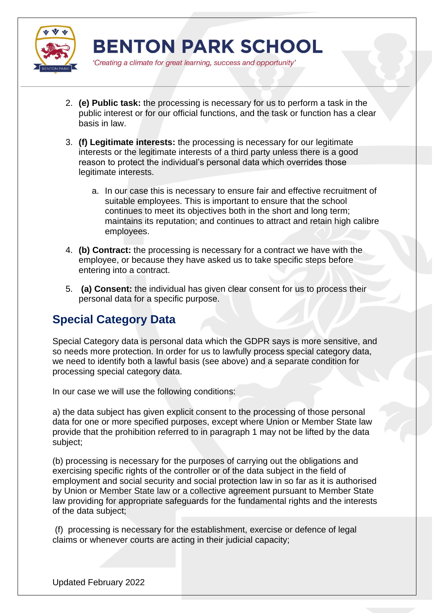

'Creating a climate for great learning, success and opportunity'

- 2. **(e) Public task:** the processing is necessary for us to perform a task in the public interest or for our official functions, and the task or function has a clear basis in law.
- 3. **(f) Legitimate interests:** the processing is necessary for our legitimate interests or the legitimate interests of a third party unless there is a good reason to protect the individual's personal data which overrides those legitimate interests.
	- a. In our case this is necessary to ensure fair and effective recruitment of suitable employees. This is important to ensure that the school continues to meet its objectives both in the short and long term; maintains its reputation; and continues to attract and retain high calibre employees.
- 4. **(b) Contract:** the processing is necessary for a contract we have with the employee, or because they have asked us to take specific steps before entering into a contract.
- 5. **(a) Consent:** the individual has given clear consent for us to process their personal data for a specific purpose.

# **Special Category Data**

Special Category data is personal data which the GDPR says is more sensitive, and so needs more protection. In order for us to lawfully process special category data, we need to identify both a lawful basis (see above) and a separate condition for processing special category data.

In our case we will use the following conditions:

a) the data subject has given explicit consent to the processing of those personal data for one or more specified purposes, except where Union or Member State law provide that the prohibition referred to in paragraph 1 may not be lifted by the data subject;

(b) processing is necessary for the purposes of carrying out the obligations and exercising specific rights of the controller or of the data subject in the field of employment and social security and social protection law in so far as it is authorised by Union or Member State law or a collective agreement pursuant to Member State law providing for appropriate safeguards for the fundamental rights and the interests of the data subject;

(f) processing is necessary for the establishment, exercise or defence of legal claims or whenever courts are acting in their judicial capacity;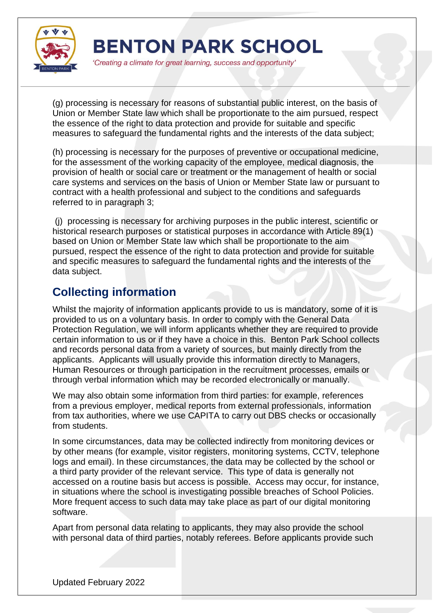

'Creating a climate for great learning, success and opportunity'

(g) processing is necessary for reasons of substantial public interest, on the basis of Union or Member State law which shall be proportionate to the aim pursued, respect the essence of the right to data protection and provide for suitable and specific measures to safeguard the fundamental rights and the interests of the data subject;

(h) processing is necessary for the purposes of preventive or occupational medicine, for the assessment of the working capacity of the employee, medical diagnosis, the provision of health or social care or treatment or the management of health or social care systems and services on the basis of Union or Member State law or pursuant to contract with a health professional and subject to the conditions and safeguards referred to in paragraph 3;

(j) processing is necessary for archiving purposes in the public interest, scientific or historical research purposes or statistical purposes in accordance with Article 89(1) based on Union or Member State law which shall be proportionate to the aim pursued, respect the essence of the right to data protection and provide for suitable and specific measures to safeguard the fundamental rights and the interests of the data subject.

# **Collecting information**

Whilst the majority of information applicants provide to us is mandatory, some of it is provided to us on a voluntary basis. In order to comply with the General Data Protection Regulation, we will inform applicants whether they are required to provide certain information to us or if they have a choice in this. Benton Park School collects and records personal data from a variety of sources, but mainly directly from the applicants. Applicants will usually provide this information directly to Managers, Human Resources or through participation in the recruitment processes, emails or through verbal information which may be recorded electronically or manually.

We may also obtain some information from third parties: for example, references from a previous employer, medical reports from external professionals, information from tax authorities, where we use CAPITA to carry out DBS checks or occasionally from students.

In some circumstances, data may be collected indirectly from monitoring devices or by other means (for example, visitor registers, monitoring systems, CCTV, telephone logs and email). In these circumstances, the data may be collected by the school or a third party provider of the relevant service. This type of data is generally not accessed on a routine basis but access is possible. Access may occur, for instance, in situations where the school is investigating possible breaches of School Policies. More frequent access to such data may take place as part of our digital monitoring software.

Apart from personal data relating to applicants, they may also provide the school with personal data of third parties, notably referees. Before applicants provide such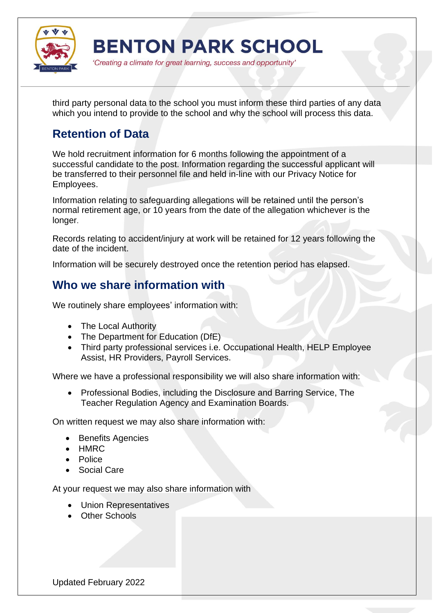

'Creating a climate for great learning, success and opportunity'

third party personal data to the school you must inform these third parties of any data which you intend to provide to the school and why the school will process this data.

# **Retention of Data**

We hold recruitment information for 6 months following the appointment of a successful candidate to the post. Information regarding the successful applicant will be transferred to their personnel file and held in-line with our Privacy Notice for Employees.

Information relating to safeguarding allegations will be retained until the person's normal retirement age, or 10 years from the date of the allegation whichever is the longer.

Records relating to accident/injury at work will be retained for 12 years following the date of the incident.

Information will be securely destroyed once the retention period has elapsed.

### **Who we share information with**

We routinely share employees' information with:

- The Local Authority
- The Department for Education (DfE)
- Third party professional services i.e. Occupational Health, HELP Employee Assist, HR Providers, Payroll Services.

Where we have a professional responsibility we will also share information with:

 Professional Bodies, including the Disclosure and Barring Service, The Teacher Regulation Agency and Examination Boards.

On written request we may also share information with:

- Benefits Agencies
- HMRC
- Police
- Social Care

At your request we may also share information with

- Union Representatives
- Other Schools

Updated February 2022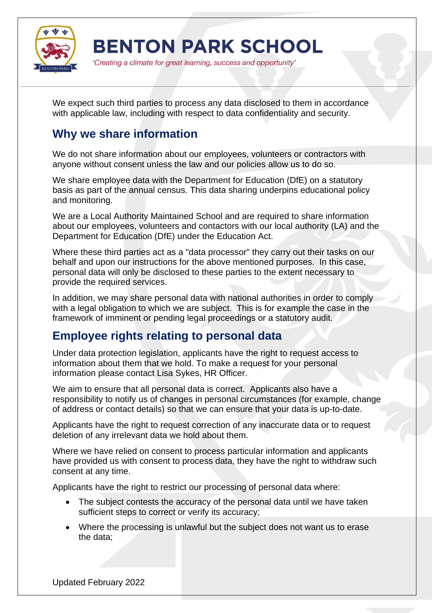

'Creating a climate for great learning, success and opportunity'

We expect such third parties to process any data disclosed to them in accordance with applicable law, including with respect to data confidentiality and security.

#### **Why we share information**

We do not share information about our employees, volunteers or contractors with anyone without consent unless the law and our policies allow us to do so.

We share employee data with the Department for Education (DfE) on a statutory basis as part of the annual census. This data sharing underpins educational policy and monitoring.

We are a Local Authority Maintained School and are required to share information about our employees, volunteers and contactors with our local authority (LA) and the Department for Education (DfE) under the Education Act.

Where these third parties act as a "data processor" they carry out their tasks on our behalf and upon our instructions for the above mentioned purposes. In this case, personal data will only be disclosed to these parties to the extent necessary to provide the required services.

In addition, we may share personal data with national authorities in order to comply with a legal obligation to which we are subject. This is for example the case in the framework of imminent or pending legal proceedings or a statutory audit.

### **Employee rights relating to personal data**

Under data protection legislation, applicants have the right to request access to information about them that we hold. To make a request for your personal information please contact Lisa Sykes, HR Officer.

We aim to ensure that all personal data is correct. Applicants also have a responsibility to notify us of changes in personal circumstances (for example, change of address or contact details) so that we can ensure that your data is up-to-date.

Applicants have the right to request correction of any inaccurate data or to request deletion of any irrelevant data we hold about them.

Where we have relied on consent to process particular information and applicants have provided us with consent to process data, they have the right to withdraw such consent at any time.

Applicants have the right to restrict our processing of personal data where:

- The subject contests the accuracy of the personal data until we have taken sufficient steps to correct or verify its accuracy;
- Where the processing is unlawful but the subject does not want us to erase the data;